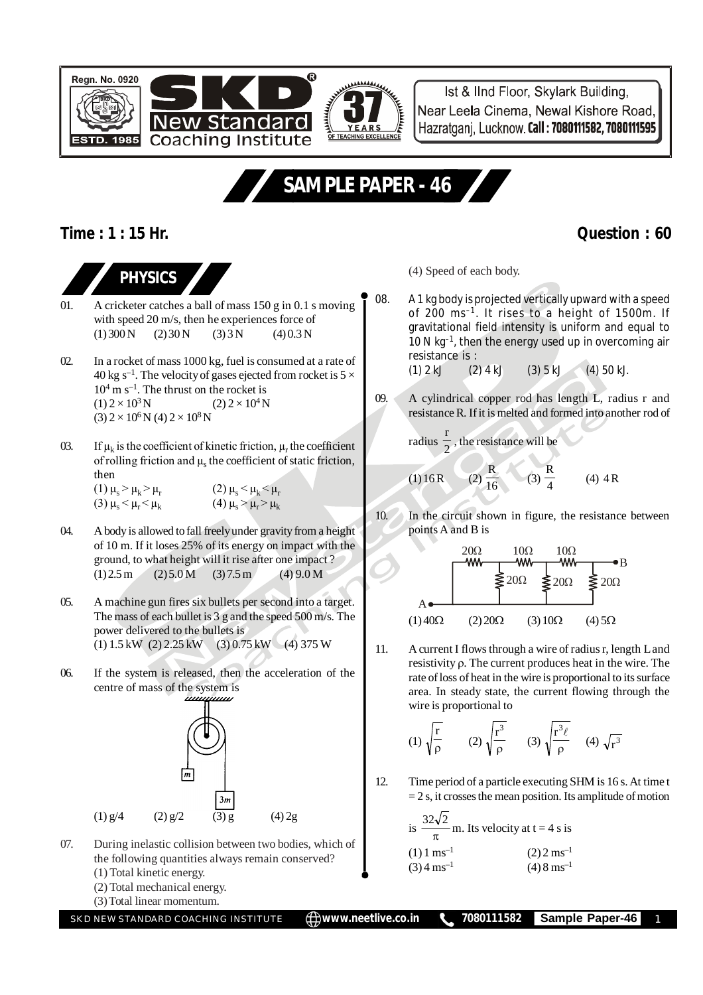Ist & IInd Floor, Skylark Building, Near Leela Cinema, Newal Kishore Road, Hazratgani, Lucknow, Call: 7080111582, 7080111595

## **SAMPLE PAPER - 46**

Q

## **Time : 1 : 15 Hr. Question : 60**

1985

**Regn. No. 0920** 



01. A cricketer catches a ball of mass 150 g in 0.1 s moving with speed 20 m/s, then he experiences force of  $(1) 300 N$   $(2) 30 N$   $(3) 3 N$   $(4) 0.3 N$ 

**Coaching Institute** 

- 02. In a rocket of mass 1000 kg, fuel is consumed at a rate of 40 kg s<sup>-1</sup>. The velocity of gases ejected from rocket is  $5 \times$  $10<sup>4</sup>$  m s<sup>-1</sup>. The thrust on the rocket is  $(1)$  2 × 10<sup>3</sup> N N  $(2) 2 \times 10^4$  N  $(3)$  2 × 10<sup>6</sup> N (4) 2 × 10<sup>8</sup> N
- 03. If  $\mu_k$  is the coefficient of kinetic friction,  $\mu_r$  the coefficient of rolling friction and  $\mu_s$  the coefficient of static friction, then (1)  $\mu_s > \mu_k > \mu_r$ (2)  $\mu_s < \mu_k < \mu_r$

(3)  $\mu_s < \mu_r < \mu_k$ (4)  $\mu_s > \mu_r > \mu_k$ 

- 04. A body is allowed to fall freely under gravity from a height of 10 m. If it loses 25% of its energy on impact with the ground, to what height will it rise after one impact ?  $(1) 2.5 m$   $(2) 5.0 M$   $(3) 7.5 m$   $(4) 9.0 M$
- 05. A machine gun fires six bullets per second into a target. The mass of each bullet is 3 g and the speed 500 m/s. The power delivered to the bullets is (1) 1.5 kW (2) 2.25 kW (3) 0.75 kW (4) 375 W
- 06. If the system is released, then the acceleration of the centre of mass of the system is



- 07. During inelastic collision between two bodies, which of the following quantities always remain conserved?
	- (1) Total kinetic energy.
	- (2) Total mechanical energy.
	- (3) Total linear momentum.

SKD NEW STANDARD COACHING INSTITUTE **www.neetlive.co.in 7080111582 Sample Paper-46** 1

(4) Speed of each body.

- 08. A 1 kg body is projected vertically upward with a speed of 200 ms–1. It rises to a height of 1500m. If gravitational field intensity is uniform and equal to 10 N kg–1, then the energy used up in overcoming air resistance is :<br>(1)  $2 \text{ kJ}$  (2)  $4 \text{ kJ}$  $(1) 2 kJ$   $(2) 4 kJ$   $(3) 5 kJ$   $(4) 50 kJ.$
- 09. A cylindrical copper rod has length L, radius r and resistance R. If it is melted and formed into another rod of

radius 
$$
\frac{r}{2}
$$
, the resistance will be

(1) 16 R (2) 
$$
\frac{R}{16}
$$
 (3)  $\frac{R}{4}$  (4) 4 R

10. In the circuit shown in figure, the resistance between points A and B is



11. A current I flows through a wire of radius r, length L and resistivity  $\rho$ . The current produces heat in the wire. The rate of loss of heat in the wire is proportional to its surface area. In steady state, the current flowing through the wire is proportional to

(1) 
$$
\sqrt{\frac{r}{\rho}}
$$
 (2)  $\sqrt{\frac{r^3}{\rho}}$  (3)  $\sqrt{\frac{r^3 \ell}{\rho}}$  (4)  $\sqrt{r^3}$ 

12. Time period of a particle executing SHM is 16 s. At time t  $= 2$  s, it crosses the mean position. Its amplitude of motion

is 
$$
\frac{32\sqrt{2}}{\pi}
$$
 m. Its velocity at t = 4 s is  
\n(1) 1 ms<sup>-1</sup> (2) 2 ms<sup>-1</sup>  
\n(3) 4 ms<sup>-1</sup> (4) 8 ms<sup>-1</sup>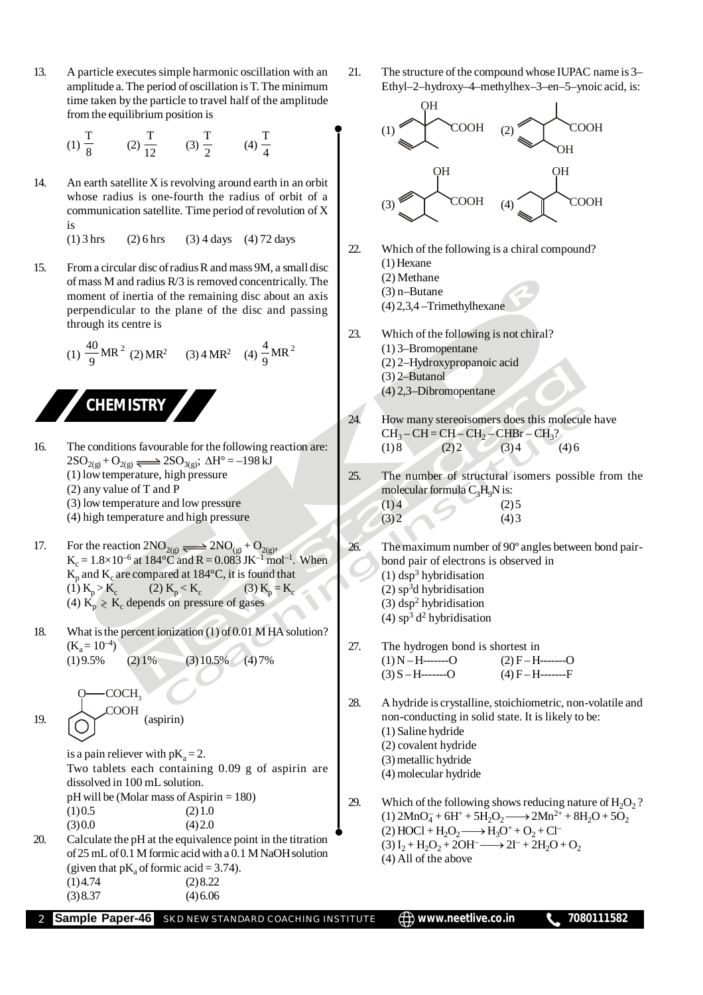13. A particle executes simple harmonic oscillation with an amplitude a. The period of oscillation is T. The minimum time taken by the particle to travel half of the amplitude from the equilibrium position is

(1) 
$$
\frac{T}{8}
$$
 (2)  $\frac{T}{12}$  (3)  $\frac{T}{2}$  (4)  $\frac{T}{4}$ 

14. An earth satellite  $X$  is revolving around earth in an orbit whose radius is one-fourth the radius of orbit of a communication satellite. Time period of revolution of X is

 $(1)$  3 hrs (2) 6 hrs (3) 4 days (4) 72 days

15. From a circular disc of radius R and mass 9M, a small disc of mass M and radius R/3 is removed concentrically. The moment of inertia of the remaining disc about an axis perpendicular to the plane of the disc and passing through its centre is

(1) 
$$
\frac{40}{9}
$$
MR<sup>2</sup> (2)MR<sup>2</sup> (3) 4 MR<sup>2</sup> (4)  $\frac{4}{9}$ MR<sup>2</sup>



- 16. The conditions favourable for the following reaction are:  $2SO_{2(g)}+O_{2(g)} \longrightarrow 2SO_{3(g)}$ ;  $\Delta H^{\circ} = -198 \text{ kJ}$ (1) low temperature, high pressure (2) any value of T and P (3) low temperature and low pressure (4) high temperature and high pressure
- 17. For the reaction  $2NO_{2(g)} \rightleftharpoons 2NO_{(g)} + O_{2(g)}$ ,  $K_c = 1.8 \times 10^{-6}$  at 184°C and R = 0.083 JK<sup>-1</sup> mol<sup>-1</sup>. When  $\mathrm{K}_\mathrm{p}$  and  $\mathrm{K}_\mathrm{c}$  are compared at 184°C, it is found that (1)  $K_p > K_c$ (2) K<sub>p</sub> < K<sub>c</sub> (3)  $K_p = K_c$ (4)  $K_p \ge K_c$  depends on pressure of gases
- 18. What is the percent ionization  $(1)$  of 0.01 M HA solution?  $(K_a = 10^{-4})$  $(1) 9.5\%$   $(2) 1\%$   $(3) 10.5\%$   $(4) 7\%$ 
	- COOH COCH<sub>3</sub> (aspirin)

19.

is a pain reliever with  $pK_a = 2$ . Two tablets each containing 0.09 g of aspirin are dissolved in 100 mL solution. pH will be (Molar mass of Aspirin = 180)  $(1) 0.5$   $(2) 1.0$  $(3) 0.0$   $(4) 2.0$ 

20. Calculate the pH at the equivalence point in the titration of 25 mL of 0.1 M formic acid with a 0.1 M NaOH solution (given that  $pK_a$  of formic acid = 3.74).  $(1)$  4.74  $(2)$  8.22  $(3) 8.37$   $(4) 6.06$ 

21. The structure of the compound whose IUPAC name is 3– Ethyl–2–hydroxy–4–methylhex–3–en–5–ynoic acid, is:



**Sample Paper-46** SKD NEW STANDARD COACHING INSTITUTE  $\bigoplus$  www.neetlive.co.in 2 7080111582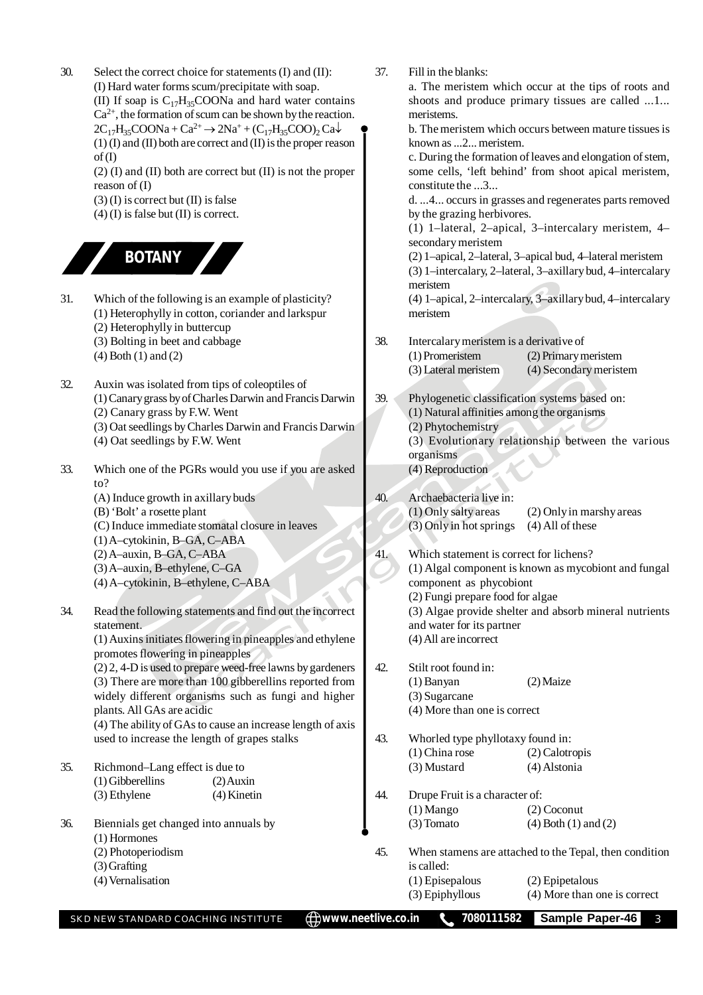| 30. | Select the correct choice for statements (I) and (II):                             | 37. | Fill in the blanks:                                    |                                                             |
|-----|------------------------------------------------------------------------------------|-----|--------------------------------------------------------|-------------------------------------------------------------|
|     | (I) Hard water forms scum/precipitate with soap.                                   |     |                                                        | a. The meristem which occur at the tips of roots and        |
|     | (II) If soap is $C_{17}H_{35}COONa$ and hard water contains                        |     |                                                        | shoots and produce primary tissues are called 1             |
|     | $Ca^{2+}$ , the formation of scum can be shown by the reaction.                    |     | meristems.                                             |                                                             |
|     | $2C_{17}H_{35}COONa + Ca^{2+} \rightarrow 2Na^+ + (C_{17}H_{35}COO)_2Ca\downarrow$ |     |                                                        | b. The meristem which occurs between mature tissues is      |
|     | $(1)$ (I) and (II) both are correct and (II) is the proper reason                  |     | known as 2 meristem.                                   |                                                             |
|     | of(I)                                                                              |     |                                                        | c. During the formation of leaves and elongation of stem,   |
|     | $(2)$ (I) and (II) both are correct but (II) is not the proper                     |     | some cells, 'left behind' from shoot apical meristem,  |                                                             |
|     | reason of $(I)$                                                                    |     | constitute the 3                                       |                                                             |
|     | $(3)$ (I) is correct but (II) is false                                             |     |                                                        | d. 4 occurs in grasses and regenerates parts removed        |
|     | $(4)$ (I) is false but (II) is correct.                                            |     | by the grazing herbivores.                             |                                                             |
|     |                                                                                    |     |                                                        | (1) 1-lateral, 2-apical, 3-intercalary meristem, 4-         |
|     |                                                                                    |     | secondary meristem                                     |                                                             |
|     | <b>BOTANY</b>                                                                      |     |                                                        | (2) 1-apical, 2-lateral, 3-apical bud, 4-lateral meristem   |
|     |                                                                                    |     |                                                        | (3) 1-intercalary, 2-lateral, 3-axillary bud, 4-intercalary |
|     |                                                                                    |     | meristem                                               |                                                             |
| 31. | Which of the following is an example of plasticity?                                |     |                                                        | (4) 1-apical, 2-intercalary, 3-axillary bud, 4-intercalary  |
|     | (1) Heterophylly in cotton, coriander and larkspur                                 |     | meristem                                               |                                                             |
|     | (2) Heterophylly in buttercup                                                      |     |                                                        |                                                             |
|     | (3) Bolting in beet and cabbage                                                    | 38. | Intercalary meristem is a derivative of                |                                                             |
|     | $(4)$ Both $(1)$ and $(2)$                                                         |     | (1) Promeristem                                        | (2) Primary meristem                                        |
|     |                                                                                    |     | (3) Lateral meristem                                   | (4) Secondary meristem                                      |
| 32. | Auxin was isolated from tips of coleoptiles of                                     |     |                                                        |                                                             |
|     | (1) Canary grass by of Charles Darwin and Francis Darwin                           | 39. | Phylogenetic classification systems based on:          |                                                             |
|     |                                                                                    |     |                                                        |                                                             |
|     | (2) Canary grass by F.W. Went                                                      |     | (1) Natural affinities among the organisms             |                                                             |
|     | (3) Oat seedlings by Charles Darwin and Francis Darwin                             |     | (2) Phytochemistry                                     |                                                             |
|     | (4) Oat seedlings by F.W. Went                                                     |     | (3) Evolutionary relationship between the various      |                                                             |
|     |                                                                                    |     | organisms                                              |                                                             |
| 33. | Which one of the PGRs would you use if you are asked                               |     | (4) Reproduction                                       |                                                             |
|     | to?                                                                                |     |                                                        |                                                             |
|     | (A) Induce growth in axillary buds                                                 | 40. | Archaebacteria live in:                                |                                                             |
|     | (B) 'Bolt' a rosette plant                                                         |     | (1) Only salty areas                                   | (2) Only in marshy areas                                    |
|     | (C) Induce immediate stomatal closure in leaves                                    |     | (3) Only in hot springs                                | $(4)$ All of these                                          |
|     | (1) A-cytokinin, B-GA, C-ABA                                                       |     |                                                        |                                                             |
|     | (2) A-auxin, B-GA, C-ABA                                                           | 41. | Which statement is correct for lichens?                |                                                             |
|     | (3) A-auxin, B-ethylene, C-GA                                                      |     | (1) Algal component is known as mycobiont and fungal   |                                                             |
|     | (4) A-cytokinin, B-ethylene, C-ABA                                                 |     | component as phycobiont                                |                                                             |
|     |                                                                                    |     | (2) Fungi prepare food for algae                       |                                                             |
| 34. | Read the following statements and find out the incorrect                           |     | (3) Algae provide shelter and absorb mineral nutrients |                                                             |
|     | statement.                                                                         |     | and water for its partner                              |                                                             |
|     | (1) Auxins initiates flowering in pineapples and ethylene                          |     | (4) All are incorrect                                  |                                                             |
|     | promotes flowering in pineapples                                                   |     |                                                        |                                                             |
|     | (2) 2, 4-D is used to prepare weed-free lawns by gardeners                         | 42. | Stilt root found in:                                   |                                                             |
|     | (3) There are more than 100 gibberellins reported from                             |     | (1) Banyan                                             | $(2)$ Maize                                                 |
|     | widely different organisms such as fungi and higher                                |     | (3) Sugarcane                                          |                                                             |
|     | plants. All GAs are acidic                                                         |     | (4) More than one is correct                           |                                                             |
|     | (4) The ability of GAs to cause an increase length of axis                         |     |                                                        |                                                             |
|     | used to increase the length of grapes stalks                                       | 43. | Whorled type phyllotaxy found in:                      |                                                             |
|     |                                                                                    |     | $(1)$ China rose                                       | (2) Calotropis                                              |
| 35. | Richmond-Lang effect is due to                                                     |     | (3) Mustard                                            | (4) Alstonia                                                |
|     | $(1)$ Gibberellins<br>$(2)$ Auxin                                                  |     |                                                        |                                                             |
|     | (3) Ethylene<br>(4) Kinetin                                                        | 44. | Drupe Fruit is a character of:                         |                                                             |
|     |                                                                                    |     | $(1)$ Mango                                            | $(2)$ Coconut                                               |
| 36. | Biennials get changed into annuals by                                              |     | (3) Tomato                                             | $(4)$ Both $(1)$ and $(2)$                                  |
|     | (1) Hormones                                                                       |     |                                                        |                                                             |
|     | (2) Photoperiodism                                                                 | 45. |                                                        | When stamens are attached to the Tepal, then condition      |
|     | $(3)$ Grafting                                                                     |     | is called:                                             |                                                             |
|     | (4) Vernalisation                                                                  |     | (1) Episepalous                                        | (2) Epipetalous                                             |
|     |                                                                                    |     | (3) Epiphyllous                                        | (4) More than one is correct                                |
|     |                                                                                    |     | 7080111582                                             | Sample Paper-46                                             |
|     | <b>E</b> www.neetlive.co.in<br>SKD NEW STANDARD COACHING INSTITUTE                 |     |                                                        | 3                                                           |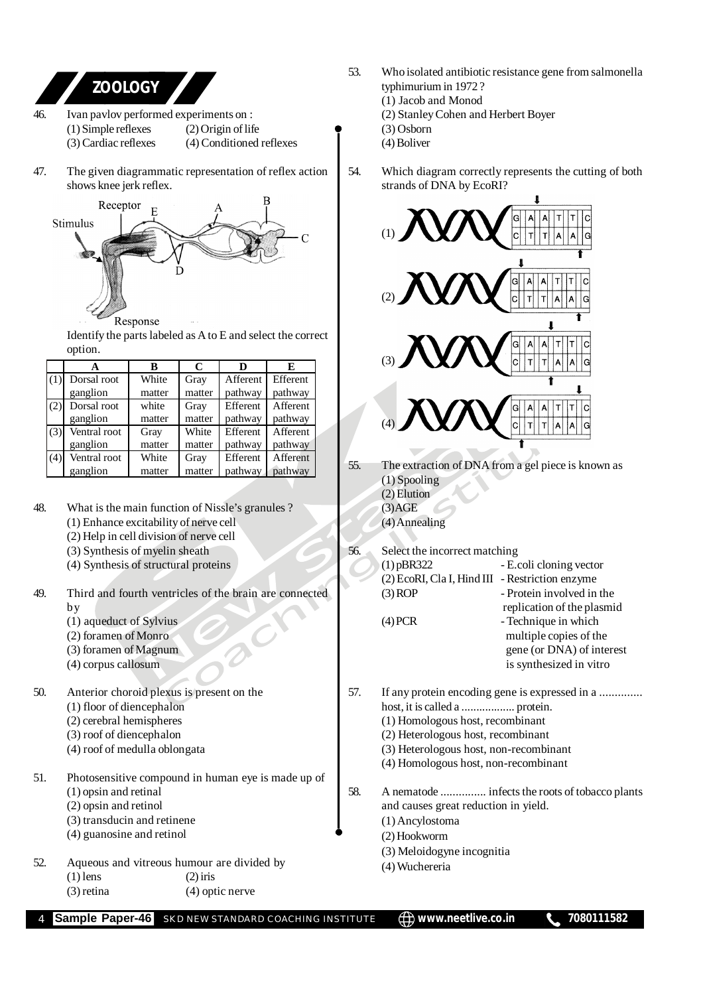

**Sample Paper-46** SKD NEW STANDARD COACHING INSTITUTE  $\bigoplus$  www.neetlive.co.in 1080111582